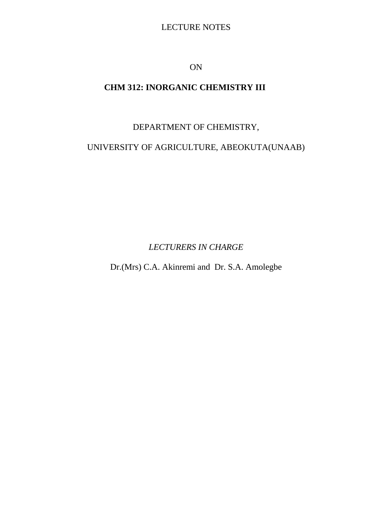# LECTURE NOTES

ON

# **CHM 312: INORGANIC CHEMISTRY III**

DEPARTMENT OF CHEMISTRY,

UNIVERSITY OF AGRICULTURE, ABEOKUTA(UNAAB)

*LECTURERS IN CHARGE*

Dr.(Mrs) C.A. Akinremi and Dr. S.A. Amolegbe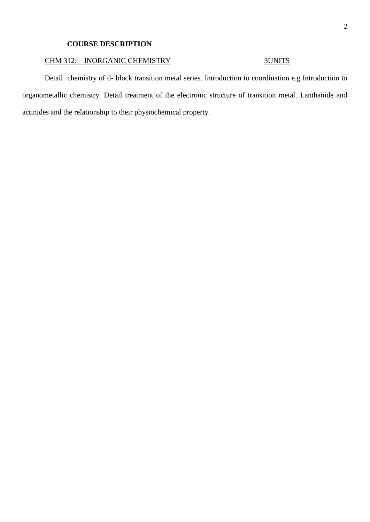## **COURSE DESCRIPTION**

## CHM 312: INORGANIC CHEMISTRY 3UNITS

Detail chemistry of d- block transition metal series. Introduction to coordination e.g Introduction to organometallic chemistry. Detail treatment of the electronic structure of transition metal. Lanthanide and actinides and the relationship to their physiochemical property.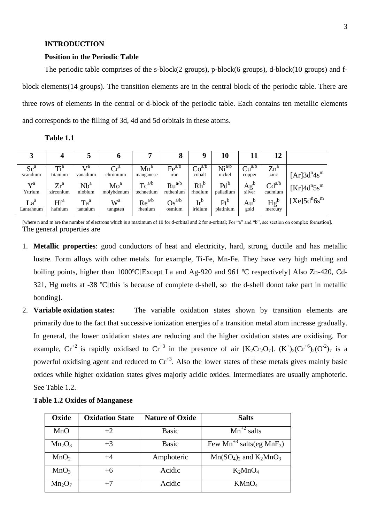### **INTRODUCTION**

#### **Position in the Periodic Table**

The periodic table comprises of the s-block(2 groups), p-block(6 groups), d-block(10 groups) and fblock elements(14 groups). The transition elements are in the central block of the periodic table. There are three rows of elements in the central or d-block of the periodic table. Each contains ten metallic elements and corresponds to the filling of 3d, 4d and 5d orbitals in these atoms.

| Table 1.1 |  |
|-----------|--|

| لہ                                 | 4                   |                                       | o                                    |                          | 8                                      | Q                                     | 10                          | 11                                             | 12                    |                                        |
|------------------------------------|---------------------|---------------------------------------|--------------------------------------|--------------------------|----------------------------------------|---------------------------------------|-----------------------------|------------------------------------------------|-----------------------|----------------------------------------|
| Sc <sup>a</sup><br>scandium        | $Ti^a$<br>titanium  | $\mathbf{v}$ $\mathbf{z}$<br>vanadium | $\mathrm{Cr}^\mathrm{a}$<br>chromium | $Mn^a$<br>manganese      | $\text{Fe}^{\text{a/b}}$<br>iron       | Co <sup>a/b</sup><br>cobalt           | Ni <sup>a/b</sup><br>nickel | Cu <sup>a/b</sup><br>copper                    | $Zn^a$<br>zinc        | $[Ar]3d^{n}4s^{m}$                     |
| $\mathbf{V}^{\text{a}}$<br>Yttrium | $Zr^a$<br>zirconium | Nb <sup>a</sup><br>niobium            | Mo <sup>a</sup><br>molybdenum        | $Tc^{a/b}$<br>technetium | $Ru^{a/b}$<br>ruthenium                | $Rh^b$<br>rhodium                     | $Pd^b$<br>palladium         | $\mathbf{A}$ $\mathbf{g}^{\text{b}}$<br>silver | $Cd^{a/b}$<br>cadmium | $[Kr]$ 4d <sup>n</sup> 5s <sup>m</sup> |
| La <sup>a</sup><br>Lantahnum       | $Hf^a$<br>hafnium   | $Ta^a$<br>tantalum                    | W <sup>a</sup><br>tungsten           | $Re^{a/b}$<br>rhenium    | $\mathrm{Os}^{\mathrm{a/b}}$<br>osmium | $\mathrm{Ir}^{\mathrm{b}}$<br>iridium | $Pt^b$<br>platinium         | $Au^b$<br>gold                                 | $Hg^b$<br>mercury     | $[Xe]5d^n6s^m$                         |

[where n and m are the number of electrons which is a maximum of 10 for d-orbital and 2 for s-orbital; For "a" and "b", see section on complex formation]. The general properties are

- 1. **Metallic properties**: good conductors of heat and electricity, hard, strong, ductile and has metallic lustre. Form alloys with other metals. for example, Ti-Fe, Mn-Fe. They have very high melting and boiling points, higher than 1000°C[Except La and Ag-920 and 961 °C respectively] Also Zn-420, Cd-321, Hg melts at -38 ºC[this is because of complete d-shell, so the d-shell donot take part in metallic bonding].
- 2. **Variable oxidation states:** The variable oxidation states shown by transition elements are primarily due to the fact that successive ionization energies of a transition metal atom increase gradually. In general, the lower oxidation states are reducing and the higher oxidation states are oxidising. For example,  $Cr^{+2}$  is rapidly oxidised to  $Cr^{+3}$  in the presence of air  $[K_2Cr_2O_7]$ .  $(K^+)_2(Cr^{+6})_2(O^{-2})_7$  is a powerful oxidising agent and reduced to  $Cr^{3}$ . Also the lower states of these metals gives mainly basic oxides while higher oxidation states gives majorly acidic oxides. Intermediates are usually amphoteric. See Table 1.2.

| Oxide            | <b>Oxidation State</b> | <b>Nature of Oxide</b> | <b>Salts</b>                             |
|------------------|------------------------|------------------------|------------------------------------------|
| MnO              | $+2$                   | <b>Basic</b>           | $Mn^{2}$ salts                           |
| $Mn_2O_3$        | $+3$                   | <b>Basic</b>           | Few $Mn^{3}$ salts(eg MnF <sub>3</sub> ) |
| MnO <sub>2</sub> |                        | Amphoteric             | $Mn(SO_4)_2$ and $K_2MnO_3$              |
| MnO <sub>3</sub> | $+6$                   | Acidic                 | $K_2MnO_4$                               |
| $Mn_2O_7$        | $+7$                   | Acidic                 | KMnO <sub>4</sub>                        |

|  |  |  |  | <b>Table 1.2 Oxides of Manganese</b> |
|--|--|--|--|--------------------------------------|
|--|--|--|--|--------------------------------------|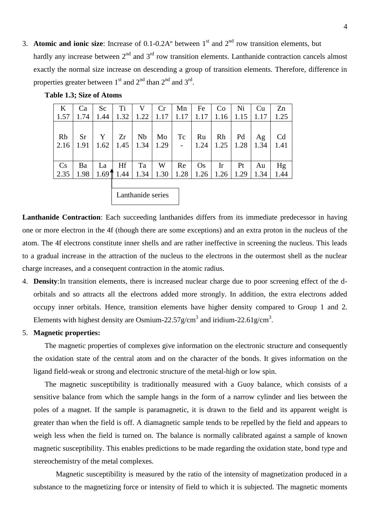3. **Atomic and ionic size**: Increase of  $0.1$ - $0.2$ A $^{\circ}$  between  $1^{\text{st}}$  and  $2^{\text{nd}}$  row transition elements, but hardly any increase between  $2<sup>nd</sup>$  and  $3<sup>rd</sup>$  row transition elements. Lanthanide contraction cancels almost exactly the normal size increase on descending a group of transition elements. Therefore, difference in properties greater between  $1<sup>st</sup>$  and  $2<sup>nd</sup>$  than  $2<sup>nd</sup>$  and  $3<sup>rd</sup>$ .

| $\bf K$                | Ca        | Sc   | Ti   | V    | Cr   | Mn   | Fe        | Co                     | Ni   | Cu   | Zn             |
|------------------------|-----------|------|------|------|------|------|-----------|------------------------|------|------|----------------|
| 1.57                   | 1.74      | 1.44 | 1.32 | 1.22 | 1.17 | 1.17 | 1.17      | 1.16                   | 1.15 | 1.17 | 1.25           |
|                        |           |      |      |      |      |      |           |                        |      |      |                |
| Rb                     | <b>Sr</b> | Y    | Zr   | Nb   | Mo   | Tc   | Ru        | Rh                     | Pd   | Ag   | C <sub>d</sub> |
| 2.16                   | 1.91      | 1.62 | 1.45 | 1.34 | 1.29 |      | 1.24      | 1.25                   | 1.28 | 1.34 | 1.41           |
|                        |           |      |      |      |      |      |           |                        |      |      |                |
| $\mathbf{C}\mathbf{s}$ | Ba        | La   | Hf   | Ta   | W    | Re   | <b>Os</b> | $\mathop{\mathrm{Ir}}$ | Pt   | Au   | Hg             |
| 2.35                   | 1.98      | 1.69 | 1.44 | 1.34 | 1.30 | 1.28 | 1.26      | 1.26                   | 1.29 | 1.34 | 1.44           |
|                        |           |      |      |      |      |      |           |                        |      |      |                |

**Table 1.3; Size of Atoms**

**Lanthanide Contraction**: Each succeeding lanthanides differs from its immediate predecessor in having one or more electron in the 4f (though there are some exceptions) and an extra proton in the nucleus of the atom. The 4f electrons constitute inner shells and are rather ineffective in screening the nucleus. This leads to a gradual increase in the attraction of the nucleus to the electrons in the outermost shell as the nuclear seriess

charge increases, and a consequent contraction in the atomic radius.

Lanthanide series

- 4. **Density**:In transition elements, there is increased nuclear charge due to poor screening effect of the dorbitals and so attracts all the electrons added more strongly. In addition, the extra electrons added occupy inner orbitals. Hence, transition elements have higher density compared to Group 1 and 2. Elements with highest density are Osmium-22.57g/cm<sup>3</sup> and iridium-22.61g/cm<sup>3</sup>.
- 5. **Magnetic properties:**

The magnetic properties of complexes give information on the electronic structure and consequently the oxidation state of the central atom and on the character of the bonds. It gives information on the ligand field-weak or strong and electronic structure of the metal-high or low spin.

The magnetic susceptibility is traditionally measured with a Guoy balance, which consists of a sensitive balance from which the sample hangs in the form of a narrow cylinder and lies between the poles of a magnet. If the sample is paramagnetic, it is drawn to the field and its apparent weight is greater than when the field is off. A diamagnetic sample tends to be repelled by the field and appears to weigh less when the field is turned on. The balance is normally calibrated against a sample of known magnetic susceptibility. This enables predictions to be made regarding the oxidation state, bond type and stereochemistry of the metal complexes.

Magnetic susceptibility is measured by the ratio of the intensity of magnetization produced in a substance to the magnetizing force or intensity of field to which it is subjected. The magnetic moments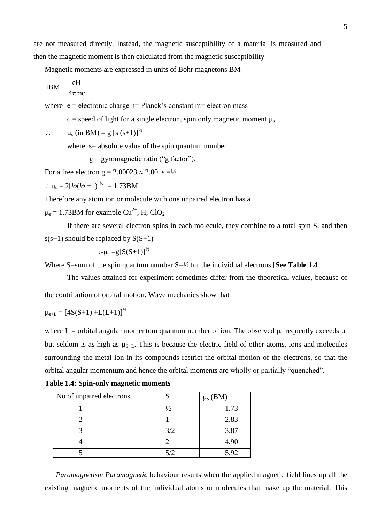are not measured directly. Instead, the magnetic susceptibility of a material is measured and then the magnetic moment is then calculated from the magnetic susceptibility

Magnetic moments are expressed in units of Bohr magnetons BM

$$
IBM = \frac{eH}{4\pi mc}
$$

where  $e =$  electronic charge h= Planck's constant m= electron mass

 $c = speed of light for a single electron, spin only magnetic moment  $\mu_s$$ 

$$
\therefore \qquad \mu_s \text{ (in BM)} = g \text{ [s (s+1)]}^{\frac{1}{2}}
$$

where  $s=$  absolute value of the spin quantum number

 $g = gyromagnetic ratio ("g factor").$ 

For a free electron  $g = 2.00023 \approx 2.00$ . s =  $\frac{1}{2}$ 

 $\therefore \mu_s = 2[V_2(\frac{1}{2} + 1)]^{1/2} = 1.73 \text{BM}.$ 

Therefore any atom ion or molecule with one unpaired electron has a

 $\mu_s = 1.73$ BM for example Cu<sup>2+</sup>, H, ClO<sub>2</sub>

If there are several electron spins in each molecule, they combine to a total spin S, and then  $s(s+1)$  should be replaced by  $S(S+1)$ 

$$
\div\mu_{\rm s}\!=\!\!{\rm g[S(S\!+\!1)]}^{\nu_2}
$$

Where S=sum of the spin quantum number  $S=$  <sup>1</sup>/<sub>2</sub> for the individual electrons. **[See Table 1.4**]

The values attained for experiment sometimes differ from the theoretical values, because of the contribution of orbital motion. Wave mechanics show that

$$
\mu_{s+L} = [4S(S+1) + L(L+1)]^{1/2}
$$

where L = orbital angular momentum quantum number of ion. The observed  $\mu$  frequently exceeds  $\mu_s$ but seldom is as high as  $\mu_{S+L}$ . This is because the electric field of other atoms, ions and molecules surrounding the metal ion in its compounds restrict the orbital motion of the electrons, so that the orbital angular momentum and hence the orbital moments are wholly or partially "quenched".

| No of unpaired electrons |     | $\mu_s$ (BM) |
|--------------------------|-----|--------------|
|                          |     | 1.73         |
|                          |     | 2.83         |
|                          | 3/2 | 3.87         |
|                          |     | 4.90         |
|                          | 5/2 | 5.92         |

**Table 1.4: Spin-only magnetic moments**

*Paramagnetism Paramagnetic* behaviour results when the applied magnetic field lines up all the existing magnetic moments of the individual atoms or molecules that make up the material. This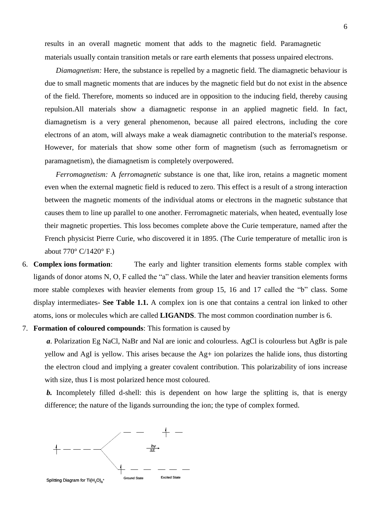results in an overall magnetic moment that adds to the magnetic field. Paramagnetic materials usually contain transition metals or rare earth elements that possess unpaired electrons.

*Diamagnetism:* Here, the substance is repelled by a magnetic field. The diamagnetic behaviour is due to small magnetic moments that are induces by the magnetic field but do not exist in the absence of the field. Therefore, moments so induced are in opposition to the inducing field, thereby causing repulsion.All materials show a diamagnetic response in an applied magnetic field. In fact, diamagnetism is a very general phenomenon, because all paired electrons, including the core electrons of an atom, will always make a weak diamagnetic contribution to the material's response. However, for materials that show some other form of magnetism (such as ferromagnetism or paramagnetism), the diamagnetism is completely overpowered.

*Ferromagnetism:* A *ferromagnetic* substance is one that, like iron, retains a magnetic moment even when the external magnetic field is reduced to zero. This effect is a result of a strong interaction between the magnetic moments of the individual atoms or electrons in the magnetic substance that causes them to line up parallel to one another. Ferromagnetic materials, when heated, eventually lose their magnetic properties. This loss becomes complete above the Curie temperature, named after the French physicist Pierre Curie, who discovered it in 1895. (The Curie temperature of metallic iron is about 770° C/1420° F.)

- 6. **Complex ions formation**: The early and lighter transition elements forms stable complex with ligands of donor atoms N, O, F called the "a" class. While the later and heavier transition elements forms more stable complexes with heavier elements from group 15, 16 and 17 called the "b" class. Some display intermediates- **See Table 1.1.** A complex ion is one that contains a central ion linked to other atoms, ions or molecules which are called **LIGANDS**. The most common coordination number is 6.
- 7. **Formation of coloured compounds**: This formation is caused by

*a*. Polarization Eg NaCl, NaBr and NaI are ionic and colourless. AgCl is colourless but AgBr is pale yellow and AgI is yellow. This arises because the Ag+ ion polarizes the halide ions, thus distorting the electron cloud and implying a greater covalent contribution. This polarizability of ions increase with size, thus I is most polarized hence most coloured.

*b.* Incompletely filled d-shell: this is dependent on how large the splitting is, that is energy difference; the nature of the ligands surrounding the ion; the type of complex formed.

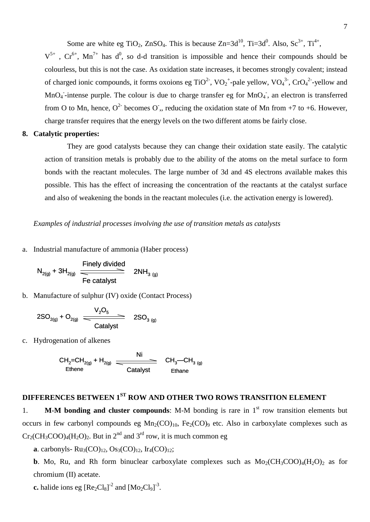Some are white eg TiO<sub>2</sub>, ZnSO<sub>4</sub>. This is because Zn= $3d^{10}$ , Ti= $3d^{0}$ . Also, Sc<sup>3+</sup>, Ti<sup>4+</sup>,

 $V^{5+}$ ,  $Cr^{6+}$ ,  $Mn^{7+}$  has d<sup>0</sup>, so d-d transition is impossible and hence their compounds should be colourless, but this is not the case. As oxidation state increases, it becomes strongly covalent; instead of charged ionic compounds, it forms oxoions eg  $TiO<sup>2</sup>$ ,  $VO<sub>2</sub><sup>+</sup>$ -pale yellow,  $VO<sub>4</sub><sup>3</sup>$ ,  $CrO<sub>4</sub><sup>2</sup>$ -yellow and  $MnO<sub>4</sub>$ -intense purple. The colour is due to charge transfer eg for  $MnO<sub>4</sub>$ , an electron is transferred from O to Mn, hence,  $O^2$  becomes O,, reducing the oxidation state of Mn from +7 to +6. However, charge transfer requires that the energy levels on the two different atoms be fairly close.

## **8. Catalytic properties:**

They are good catalysts because they can change their oxidation state easily. The catalytic action of transition metals is probably due to the ability of the atoms on the metal surface to form bonds with the reactant molecules. The large number of 3d and 4S electrons available makes this possible. This has the effect of increasing the concentration of the reactants at the catalyst surface and also of weakening the bonds in the reactant molecules (i.e. the activation energy is lowered).

## *Examples of industrial processes involving the use of transition metals as catalysts*

a. Industrial manufacture of ammonia (Haber process)

$$
N_{2(g)} + 3H_{2(g)} \xrightarrow{\text{Finely divided}} 2NH_{3(g)}
$$
  
Fe catalyst

b. Manufacture of sulphur (IV) oxide (Contact Process)

$$
2SO_{2(g)} + O_{2(g)} \frac{V_2O_5}{\text{Calalyst}} \quad 2SO_{3(g)}
$$

c. Hydrogenation of alkenes

$$
CH_2=CH_{2(g)} + H_{2(g)} \xrightarrow{\text{Ni}} CH_3-CH_{3(g)} \xrightarrow{\text{CH}_2 \atop \text{Catalyst}} CH_3-CH_{3(g)}
$$

# **DIFFERENCES BETWEEN 1ST ROW AND OTHER TWO ROWS TRANSITION ELEMENT**

1. **M-M bonding and cluster compounds**: M-M bonding is rare in 1st row transition elements but occurs in few carbonyl compounds eg  $Mn_2(CO)_{10}$ , Fe<sub>2</sub>(CO)<sub>9</sub> etc. Also in carboxylate complexes such as  $Cr_2(CH_3COO)_4(H_2O)_2$ . But in  $2<sup>nd</sup>$  and  $3<sup>rd</sup>$  row, it is much common eg

**a**. carbonyls-  $Ru_3(CO)_{12}$ ,  $Os_3(CO)_{12}$ ,  $Ir_4(CO)_{12}$ ;

**b**. Mo, Ru, and Rh form binuclear carboxylate complexes such as  $Mo_2(CH_3COO)_4(H_2O)_2$  as for chromium (II) acetate.

**c.** halide ions eg  $[Re_2Cl_8]^2$  and  $[Mo_2Cl_9]^3$ .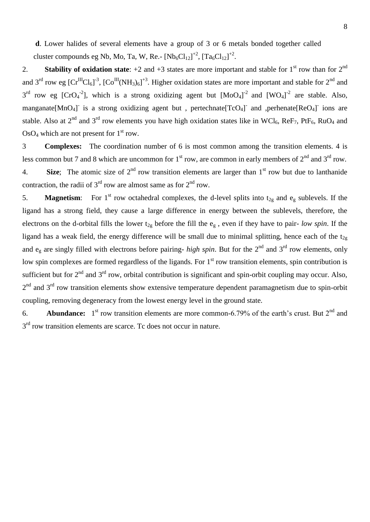**d**. Lower halides of several elements have a group of 3 or 6 metals bonded together called cluster compounds eg Nb, Mo, Ta, W, Re.-  $[Nb_6Cl_{12}]^{+2}$ ,  $[Ta_6Cl_{12}]^{+2}$ .

2. **Stability of oxidation state**:  $+2$  and  $+3$  states are more important and stable for  $1<sup>st</sup>$  row than for  $2<sup>nd</sup>$ and 3<sup>rd</sup> row eg  $[Cr^{III}Cl_6]$ <sup>-3</sup>,  $[Co^{III}(NH_3)_6]$ <sup>+3</sup>. Higher oxidation states are more important and stable for 2<sup>nd</sup> and  $3^{rd}$  row eg [CrO<sub>4</sub><sup>-2</sup>], which is a strong oxidizing agent but  $[MoO<sub>4</sub>]<sup>-2</sup>$  and  $[WO<sub>4</sub>]<sup>-2</sup>$  are stable. Also, manganate[MnO<sub>4</sub>] is a strong oxidizing agent but, pertechnate[TcO<sub>4</sub>] and ,perhenate[ReO<sub>4</sub>] ions are stable. Also at  $2^{nd}$  and  $3^{rd}$  row elements you have high oxidation states like in WCl<sub>6</sub>, ReF<sub>7</sub>, PtF<sub>6</sub>, RuO<sub>4</sub> and  $OsO<sub>4</sub>$  which are not present for  $1<sup>st</sup>$  row.

3 **Complexes:** The coordination number of 6 is most common among the transition elements. 4 is less common but 7 and 8 which are uncommon for  $1<sup>st</sup>$  row, are common in early members of  $2<sup>nd</sup>$  and  $3<sup>rd</sup>$  row. 4. **Size**; The atomic size of  $2<sup>nd</sup>$  row transition elements are larger than  $1<sup>st</sup>$  row but due to lanthanide contraction, the radii of  $3<sup>rd</sup>$  row are almost same as for  $2<sup>nd</sup>$  row.

5. **Magnetism**: For 1<sup>st</sup> row octahedral complexes, the d-level splits into  $t_{2g}$  and  $e_g$  sublevels. If the ligand has a strong field, they cause a large difference in energy between the sublevels, therefore, the electrons on the d-orbital fills the lower  $t_{2g}$  before the fill the  $e_g$ , even if they have to pair- *low spin*. If the ligand has a weak field, the energy difference will be small due to minimal splitting, hence each of the  $t_{2g}$ and  $e_g$  are singly filled with electrons before pairing- *high spin*. But for the 2<sup>nd</sup> and 3<sup>rd</sup> row elements, only low spin complexes are formed regardless of the ligands. For 1<sup>st</sup> row transition elements, spin contribution is sufficient but for  $2<sup>nd</sup>$  and  $3<sup>rd</sup>$  row, orbital contribution is significant and spin-orbit coupling may occur. Also,  $2<sup>nd</sup>$  and  $3<sup>rd</sup>$  row transition elements show extensive temperature dependent paramagnetism due to spin-orbit coupling, removing degeneracy from the lowest energy level in the ground state.

6. **Abundance:**  $1<sup>st</sup>$  row transition elements are more common-6.79% of the earth's crust. But  $2<sup>nd</sup>$  and  $3<sup>rd</sup>$  row transition elements are scarce. Tc does not occur in nature.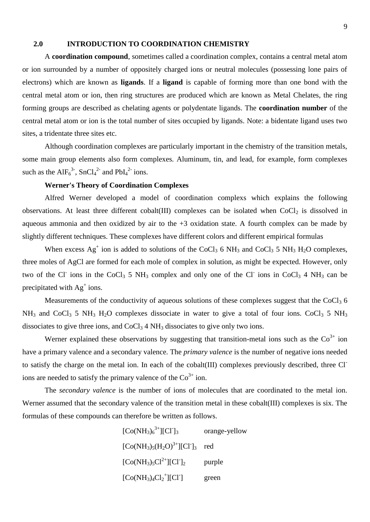## **2.0 INTRODUCTION TO COORDINATION CHEMISTRY**

A **coordination compound**, sometimes called a coordination complex, contains a central metal atom or ion surrounded by a number of oppositely charged ions or neutral molecules (possessing lone pairs of electrons) which are known as **ligands**. If a **ligand** is capable of forming more than one bond with the central metal atom or ion, then ring structures are produced which are known as Metal Chelates, the ring forming groups are described as chelating agents or polydentate ligands. The **coordination number** of the central metal atom or ion is the total number of sites occupied by ligands. Note: a bidentate ligand uses two sites, a tridentate three sites etc.

Although coordination complexes are particularly important in the chemistry of the transition metals, some main group elements also form complexes. Aluminum, tin, and lead, for example, form complexes such as the  $AIF_6^{3}$ ,  $SnCl_4^{2}$  and  $PbI_4^{2}$  ions.

## **Werner's Theory of Coordination Complexes**

Alfred Werner developed a model of coordination complexs which explains the following observations. At least three different cobalt(III) complexes can be isolated when  $CoCl<sub>2</sub>$  is dissolved in aqueous ammonia and then oxidized by air to the +3 oxidation state. A fourth complex can be made by slightly different techniques. These complexes have different colors and different empirical formulas

When excess  $Ag^+$  ion is added to solutions of the CoCl<sub>3</sub> 6 NH<sub>3</sub> and CoCl<sub>3</sub> 5 NH<sub>3</sub> H<sub>2</sub>O complexes, three moles of AgCl are formed for each mole of complex in solution, as might be expected. However, only two of the Cl<sup>-</sup> ions in the CoCl<sub>3</sub> 5 NH<sub>3</sub> complex and only one of the Cl<sup>-</sup> ions in CoCl<sub>3</sub> 4 NH<sub>3</sub> can be precipitated with  $Ag<sup>+</sup> ions$ .

Measurements of the conductivity of aqueous solutions of these complexes suggest that the  $CoCl<sub>3</sub> 6$  $NH_3$  and CoCl<sub>3</sub> 5 NH<sub>3</sub> H<sub>2</sub>O complexes dissociate in water to give a total of four ions. CoCl<sub>3</sub> 5 NH<sub>3</sub> dissociates to give three ions, and  $CoCl<sub>3</sub> 4 NH<sub>3</sub>$  dissociates to give only two ions.

Werner explained these observations by suggesting that transition-metal ions such as the  $\text{Co}^{3+}$  ion have a primary valence and a secondary valence. The *primary valence* is the number of negative ions needed to satisfy the charge on the metal ion. In each of the cobalt(III) complexes previously described, three Clions are needed to satisfy the primary valence of the  $Co<sup>3+</sup>$  ion.

The *secondary valence* is the number of ions of molecules that are coordinated to the metal ion. Werner assumed that the secondary valence of the transition metal in these cobalt(III) complexes is six. The formulas of these compounds can therefore be written as follows.

> $[Co(NH<sub>3</sub>)<sub>6</sub><sup>3+</sup>][Cl$ orange-yellow  $[Co(NH<sub>3</sub>)<sub>5</sub>(H<sub>2</sub>O)<sup>3+</sup>][CI]<sub>3</sub>$  red  $[Co(NH_3)_5Cl^{2+}][Cl^2]_2$ purple  $[Co(NH<sub>3</sub>)<sub>4</sub>Cl<sub>2</sub><sup>+</sup>][Cl<sup>-</sup>$ ] green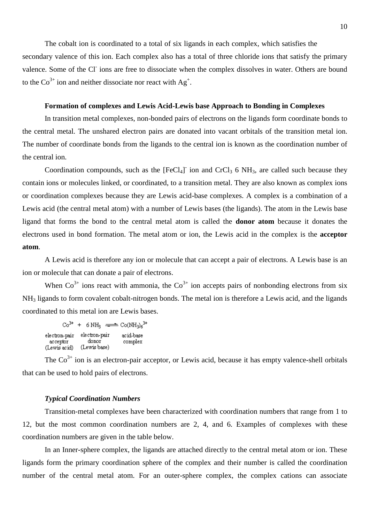The cobalt ion is coordinated to a total of six ligands in each complex, which satisfies the secondary valence of this ion. Each complex also has a total of three chloride ions that satisfy the primary valence. Some of the Cl<sup>-</sup> ions are free to dissociate when the complex dissolves in water. Others are bound to the  $\text{Co}^{3+}$  ion and neither dissociate nor react with Ag<sup>+</sup>.

#### **Formation of complexes and Lewis Acid-Lewis base Approach to Bonding in Complexes**

In transition metal complexes, non-bonded pairs of electrons on the ligands form coordinate bonds to the central metal. The unshared electron pairs are donated into vacant orbitals of the transition metal ion. The number of coordinate bonds from the ligands to the central ion is known as the coordination number of the central ion.

Coordination compounds, such as the  $[FeCl<sub>4</sub>]<sup>-</sup>$  ion and  $CrCl<sub>3</sub> 6 NH<sub>3</sub>$ , are called such because they contain ions or molecules linked, or coordinated, to a transition metal. They are also known as complex ions or coordination complexes because they are Lewis acid-base complexes. A complex is a combination of a Lewis acid (the central metal atom) with a number of Lewis bases (the ligands). The atom in the Lewis base ligand that forms the bond to the central metal atom is called the **donor atom** because it donates the electrons used in bond formation. The metal atom or ion, the Lewis acid in the complex is the **acceptor atom**.

A Lewis acid is therefore any ion or molecule that can accept a pair of electrons. A Lewis base is an ion or molecule that can donate a pair of electrons.

When  $Co<sup>3+</sup>$  ions react with ammonia, the  $Co<sup>3+</sup>$  ion accepts pairs of nonbonding electrons from six NH<sup>3</sup> ligands to form covalent cobalt-nitrogen bonds. The metal ion is therefore a Lewis acid, and the ligands coordinated to this metal ion are Lewis bases.

 $Co^{3+} + 6 NH_3 \implies Co(NH_3)_6^{3+}$ electron-pair electron-pair acid-base acceptor donor complex (Lewis acid) (Lewis base)

The  $Co<sup>3+</sup>$  ion is an electron-pair acceptor, or Lewis acid, because it has empty valence-shell orbitals that can be used to hold pairs of electrons.

#### *Typical Coordination Numbers*

Transition-metal complexes have been characterized with coordination numbers that range from 1 to 12, but the most common coordination numbers are 2, 4, and 6. Examples of complexes with these coordination numbers are given in the table below.

In an Inner-sphere complex, the ligands are attached directly to the central metal atom or ion. These ligands form the primary coordination sphere of the complex and their number is called the coordination number of the central metal atom. For an outer-sphere complex, the complex cations can associate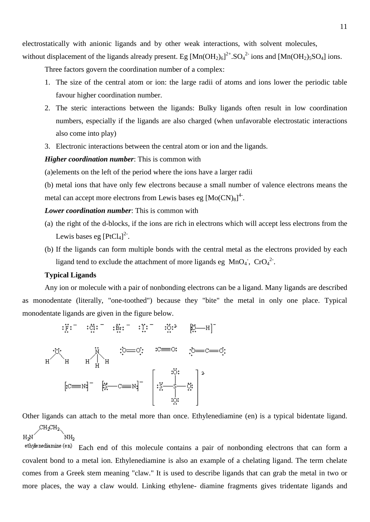electrostatically with anionic ligands and by other weak interactions, with solvent molecules,

without displacement of the ligands already present. Eg  $[Mn(OH_2)_6]^{2+}$ . SO<sub>4</sub><sup>2-</sup> ions and  $[Mn(OH_2)_5SO_4]$  ions.

Three factors govern the coordination number of a complex:

- 1. The size of the central atom or ion: the large radii of atoms and ions lower the periodic table favour higher coordination number.
- 2. The steric interactions between the ligands: Bulky ligands often result in low coordination numbers, especially if the ligands are also charged (when unfavorable electrostatic interactions also come into play)
- 3. Electronic interactions between the central atom or ion and the ligands.

## *Higher coordination number*: This is common with

(a)elements on the left of the period where the ions have a larger radii

(b) metal ions that have only few electrons because a small number of valence electrons means the metal can accept more electrons from Lewis bases eg  $[Mo(CN)_8]^4$ .

#### *Lower coordination number*: This is common with

- (a) the right of the d-blocks, if the ions are rich in electrons which will accept less electrons from the Lewis bases eg  $[PtCl<sub>4</sub>]<sup>2</sup>$ .
- (b) If the ligands can form multiple bonds with the central metal as the electrons provided by each ligand tend to exclude the attachment of more ligands eg  $MnO<sub>4</sub>$ ,  $CrO<sub>4</sub><sup>2</sup>$ .

#### **Typical Ligands**

Any ion or molecule with a pair of nonbonding electrons can be a ligand. Many ligands are described as monodentate (literally, "one-toothed") because they "bite" the metal in only one place. Typical monodentate ligands are given in the figure below.

$$
[c = M] = \begin{bmatrix} \vec{x} - c = M \end{bmatrix} = \begin{bmatrix} \vec{x} - \vec{c} \\ \vec{c} - \vec{c} \end{bmatrix}
$$

$$
[c = M] = \begin{bmatrix} \vec{x} - \vec{c} \\ \vec{c} - \vec{c} \end{bmatrix}
$$

$$
[c = M] = \begin{bmatrix} \vec{x} - \vec{c} \\ \vec{c} - \vec{c} \end{bmatrix}
$$

Other ligands can attach to the metal more than once. Ethylenediamine (en) is a typical bidentate ligand.

`<br>NН^  $H-M$ 

ethylenediamine (en) Each end of this molecule contains a pair of nonbonding electrons that can form a covalent bond to a metal ion. Ethylenediamine is also an example of a chelating ligand. The term chelate comes from a Greek stem meaning "claw." It is used to describe ligands that can grab the metal in two or more places, the way a claw would. Linking ethylene- diamine fragments gives tridentate ligands and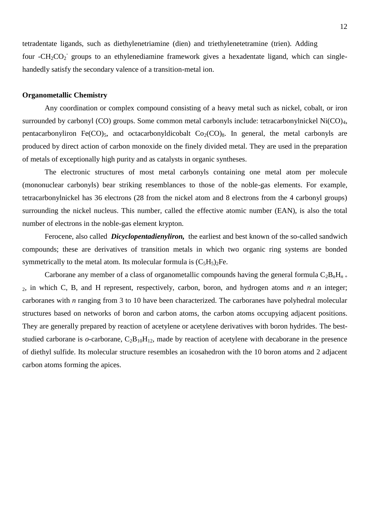tetradentate ligands, such as diethylenetriamine (dien) and triethylenetetramine (trien). Adding four - $CH_2CO_2$  groups to an ethylenediamine framework gives a hexadentate ligand, which can singlehandedly satisfy the secondary valence of a transition-metal ion.

#### **Organometallic Chemistry**

Any coordination or complex compound consisting of a heavy metal such as nickel, cobalt, or iron surrounded by carbonyl (CO) groups. Some common metal carbonyls include: tetracarbonylnickel Ni(CO)<sub>4</sub>, pentacarbonyliron Fe(CO)<sub>5</sub>, and octacarbonyldicobalt  $Co_2(CO)$ <sub>8</sub>. In general, the metal carbonyls are produced by direct action of carbon monoxide on the finely divided metal. They are used in the preparation of metals of exceptionally high purity and as catalysts in organic syntheses.

The electronic structures of most metal carbonyls containing one metal atom per molecule (mononuclear carbonyls) bear striking resemblances to those of the noble-gas elements. For example, tetracarbonylnickel has 36 electrons (28 from the nickel atom and 8 electrons from the 4 carbonyl groups) surrounding the nickel nucleus. This number, called the [effective atomic number](ebcid:com.britannica.oec2.identifier.ArticleIdentifier?articleId=32054&library=EB&query=null&title=effective%20atomic%20number#9032054.toc) (EAN), is also the total number of electrons in the noble-gas element krypton.

Ferocene, also called *Dicyclopentadienyliron,* the earliest and best known of the so-called sandwich compounds; these are derivatives of transition metals in which two organic ring systems are bonded symmetrically to the metal atom. Its molecular formula is  $(C_5H_5)_2Fe$ .

Carborane any member of a class of organometallic compounds having the general formula  $C_2B_nH_{n+1}$ <sup>2</sup>, in which C, B, and H represent, respectively, carbon, boron, and hydrogen atoms and *n* an integer; carboranes with *n* ranging from 3 to 10 have been characterized. The carboranes have polyhedral molecular structures based on networks of boron and carbon atoms, the carbon atoms occupying adjacent positions. They are generally prepared by reaction of acetylene or acetylene derivatives with boron hydrides. The beststudied carborane is  $o$ -carborane,  $C_2B_{10}H_{12}$ , made by reaction of acetylene with decaborane in the presence of diethyl sulfide. Its molecular structure resembles an icosahedron with the 10 boron atoms and 2 adjacent carbon atoms forming the apices.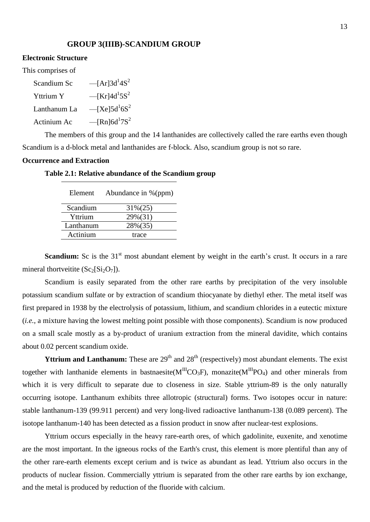## **GROUP 3(IIIB)-SCANDIUM GROUP**

#### **Electronic Structure**

This comprises of

| Scandium Sc  | $-[Ar]3d^14S^2$                         |
|--------------|-----------------------------------------|
| Yttrium Y    | $-$ [Kr]4d <sup>1</sup> 5S <sup>2</sup> |
| Lanthanum La | $-$ [Xe]5d <sup>1</sup> 6S <sup>2</sup> |
| Actinium Ac  | $-$ [Rn]6d <sup>1</sup> 7S <sup>2</sup> |

The members of this group and the 14 lanthanides are collectively called the rare earths even though Scandium is a d-block metal and lanthanides are f-block. Also, scandium group is not so rare.

#### **Occurrence and Extraction**

### **Table 2.1: Relative abundance of the Scandium group**

| Element   | Abundance in %(ppm) |
|-----------|---------------------|
| Scandium  | $31\%(25)$          |
| Yttrium   | 29%(31)             |
| Lanthanum | 28%(35)             |
| Actinium  | trace               |

**Scandium:** Sc is the 31<sup>st</sup> most abundant element by weight in the earth's crust. It occurs in a rare mineral thortveitite  $(Sc_2[Si_2O_7])$ .

Scandium is easily separated from the other rare earths by precipitation of the very insoluble potassium scandium sulfate or by extraction of scandium thiocyanate by diethyl ether. The metal itself was first prepared in 1938 by the electrolysis of potassium, lithium, and scandium chlorides in a eutectic mixture (*i.e.*, a mixture having the lowest melting point possible with those components). Scandium is now produced on a small scale mostly as a by-product of uranium extraction from the mineral davidite, which contains about 0.02 percent scandium oxide.

**Yttrium and Lanthanum:** These are  $29<sup>th</sup>$  and  $28<sup>th</sup>$  (respectively) most abundant elements. The exist together with lanthanide elements in bastnaesite( $M^{III}CO_3F$ ), monazite( $M^{III}PO_4$ ) and other minerals from which it is very difficult to separate due to closeness in size. Stable yttrium-89 is the only naturally occurring isotope. Lanthanum exhibits three allotropic (structural) forms. Two isotopes occur in nature: stable lanthanum-139 (99.911 percent) and very long-lived radioactive lanthanum-138 (0.089 percent). The isotope lanthanum-140 has been detected as a fission product in snow after nuclear-test explosions.

Yttrium occurs especially in the heavy rare-earth ores, of which gadolinite, euxenite, and xenotime are the most important. In the igneous rocks of the Earth's crust, this element is more plentiful than any of the other rare-earth elements except cerium and is twice as abundant as lead. Yttrium also occurs in the products of nuclear fission. Commercially yttrium is separated from the other rare earths by ion exchange, and the metal is produced by reduction of the fluoride with calcium.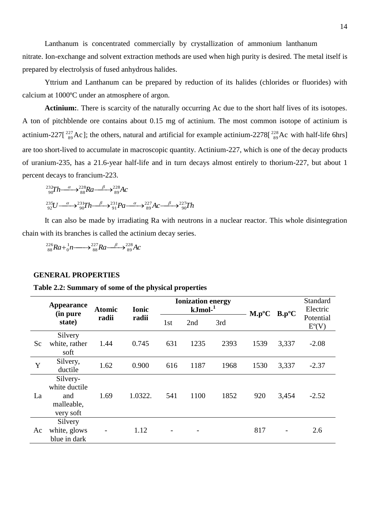Lanthanum is concentrated commercially by crystallization of ammonium lanthanum nitrate. Ion-exchange and solvent extraction methods are used when high purity is desired. The metal itself is prepared by electrolysis of fused anhydrous halides.

Yttrium and Lanthanum can be prepared by reduction of its halides (chlorides or fluorides) with calcium at 1000ºC under an atmosphere of argon.

Actinium: There is scarcity of the naturally occurring Ac due to the short half lives of its isotopes. A ton of pitchblende ore contains about 0.15 mg of actinium. The most common isotope of actinium is actinium-227 $\left[\frac{227}{89}Ac\right]$ ; the others, natural and artificial for example actinium-2278 $\left[\frac{228}{89}Ac\right]$  with half-life 6hrs are too short-lived to accumulate in macroscopic quantity. Actinium-227, which is one of the decay products of uranium-235, has a 21.6-year half-life and in turn decays almost entirely to thorium-227, but about 1 percent decays to francium-223.

$$
^{232}_{90}Th \xrightarrow{\alpha} ^{228}_{88}Ra \xrightarrow{\beta} ^{228}_{89}Ac
$$
  

$$
^{235}_{92}U \xrightarrow{\alpha} ^{231}_{90}Th \xrightarrow{\beta} ^{231}_{91}Pa \xrightarrow{\alpha} ^{227}_{89}Ac \xrightarrow{\beta} ^{227}_{90}Th
$$

It can also be made by irradiating Ra with neutrons in a nuclear reactor. This whole disintegration chain with its branches is called the actinium decay series.

 $Ra + \frac{1}{0}n \longrightarrow \frac{227}{88}Ra \longrightarrow \frac{\beta}{89}Ac$ 227 88 1 0  $^{226}_{88}Ra + ^1_0n \longrightarrow ^{227}_{88}Ra \longrightarrow$ 

#### **GENERAL PROPERTIES**

#### **Table 2.2: Summary of some of the physical properties**

|    | <b>Appearance</b><br>(in pure | <b>Atomic</b> | <b>Ionic</b> |     | <b>Ionization energy</b><br>$kJmol-1$ |      | $M.p^oC$ | $B.p^oC$ | Standard<br>Electric<br>Potential<br>$E^o(V)$ |
|----|-------------------------------|---------------|--------------|-----|---------------------------------------|------|----------|----------|-----------------------------------------------|
|    | state)                        | radii         | radii        | 1st | 2nd                                   | 3rd  |          |          |                                               |
|    | Silvery                       |               |              |     |                                       |      |          |          |                                               |
| Sc | white, rather                 | 1.44          | 0.745        | 631 | 1235                                  | 2393 | 1539     | 3,337    | $-2.08$                                       |
|    | soft                          |               |              |     |                                       |      |          |          |                                               |
| Y  | Silvery,                      | 1.62          | 0.900        | 616 | 1187                                  | 1968 | 1530     | 3,337    | $-2.37$                                       |
|    | ductile                       |               |              |     |                                       |      |          |          |                                               |
|    | Silvery-                      |               |              |     |                                       |      |          |          |                                               |
|    | white ductile                 |               |              |     |                                       |      |          |          |                                               |
| La | and                           | 1.69          | 1.0322.      | 541 | 1100                                  | 1852 | 920      | 3,454    | $-2.52$                                       |
|    | malleable,                    |               |              |     |                                       |      |          |          |                                               |
|    | very soft                     |               |              |     |                                       |      |          |          |                                               |
|    | Silvery                       |               |              |     |                                       |      |          |          |                                               |
| Ac | white, glows                  |               | 1.12         |     |                                       |      | 817      |          | 2.6                                           |
|    | blue in dark                  |               |              |     |                                       |      |          |          |                                               |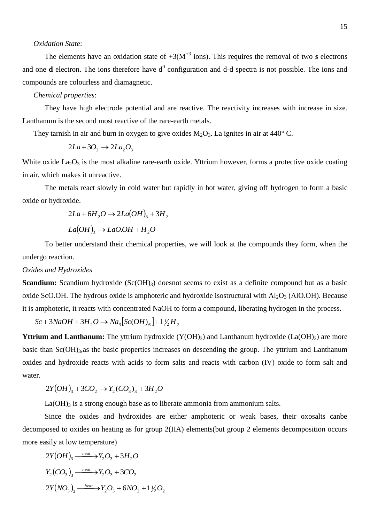#### *Oxidation State*:

The elements have an oxidation state of  $+3(M^{+3} \text{ ions})$ . This requires the removal of two **s** electrons and one  $d$  electron. The ions therefore have  $d^0$  configuration and  $d$ -d spectra is not possible. The ions and compounds are colourless and diamagnetic.

## *Chemical properties*:

They have high electrode potential and are reactive. The reactivity increases with increase in size. Lanthanum is the second most reactive of the rare-earth metals.

They tarnish in air and burn in oxygen to give oxides  $M_2O_3$ . La ignites in air at 440° C.

$$
2La + 3O_2 \rightarrow 2La_2O_3
$$

White oxide  $La<sub>2</sub>O<sub>3</sub>$  is the most alkaline rare-earth oxide. Yttrium however, forms a protective oxide coating in air, which makes it unreactive.

The metals react slowly in cold water but rapidly in hot water, giving off hydrogen to form a basic oxide or hydroxide.

$$
2La + 6H_2O \rightarrow 2La(OH)_3 + 3H_2
$$

$$
La(OH)_3 \rightarrow LaO.OH + H_2O
$$

To better understand their chemical properties, we will look at the compounds they form, when the undergo reaction.

#### *Oxides and Hydroxides*

**Scandium:** Scandium hydroxide (Sc(OH)<sub>3</sub>) doesnot seems to exist as a definite compound but as a basic oxide ScO.OH. The hydrous oxide is amphoteric and hydroxide isostructural with  $A<sub>1</sub>O<sub>3</sub>$  (AlO.OH). Because it is amphoteric, it reacts with concentrated NaOH to form a compound, liberating hydrogen in the process.

 $Sc + 3NaOH + 3H_2O \rightarrow Na_3[Sc(OH)_6] + 1\frac{1}{2}H_2$ 

**Yttrium and Lanthanum:** The yttrium hydroxide  $(Y(OH)_3)$  and Lanthanum hydroxide  $(La(OH)_3)$  are more basic than  $Sc(OH)_{3,3}$  the basic properties increases on descending the group. The yttrium and Lanthanum oxides and hydroxide reacts with acids to form salts and reacts with carbon (IV) oxide to form salt and water.

$$
2Y(OH)_3 + 3CO_2 \to Y_2(CO_3)_3 + 3H_2O
$$

 $La(OH)_{3}$  is a strong enough base as to liberate ammonia from ammonium salts.

Since the oxides and hydroxides are either amphoteric or weak bases, their oxosalts canbe decomposed to oxides on heating as for group 2(IIA) elements(but group 2 elements decomposition occurs more easily at low temperature)

$$
2Y(OH)_3 \xrightarrow{\text{heat}} Y_2O_3 + 3H_2O
$$
  
\n
$$
Y_2(CO_3)_3 \xrightarrow{\text{heat}} Y_2O_3 + 3CO_2
$$
  
\n
$$
2Y(NO_3)_3 \xrightarrow{\text{heat}} Y_2O_3 + 6NO_2 + 1\frac{1}{2}O_2
$$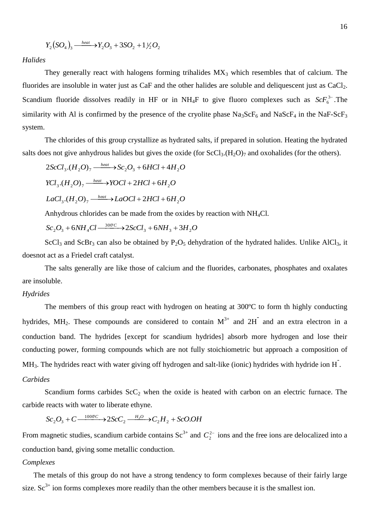$$
Y_2(SO_4)_3 \xrightarrow{\text{heat}} Y_2O_3 + 3SO_2 + 1\frac{1}{2}O_2
$$

*Halides*

They generally react with halogens forming trihalides  $MX_3$  which resembles that of calcium. The fluorides are insoluble in water just as  $CaF$  and the other halides are soluble and deliquescent just as  $CaCl<sub>2</sub>$ . Scandium fluoride dissolves readily in HF or in  $NH_4F$  to give fluoro complexes such as  $ScF_6^{3-}$ . The similarity with Al is confirmed by the presence of the cryolite phase  $\text{Na}_3\text{ScF}_6$  and  $\text{NaScF}_4$  in the NaF-ScF<sub>3</sub> system.

The chlorides of this group crystallize as hydrated salts, if prepared in solution. Heating the hydrated salts does not give anhydrous halides but gives the oxide (for  $ScCl<sub>3</sub>(H<sub>2</sub>O)<sub>7</sub>$  and oxohalides (for the others).

$$
2ScCl_3.(H_2O)_7 \xrightarrow{heat} Sc_2O_3 + 6HCl + 4H_2O
$$
  
\n
$$
YCl_3.(H_2O)_7 \xrightarrow{heat} YOCl + 2HCl + 6H_2O
$$
  
\n
$$
LaCl_3.(H_2O)_7 \xrightarrow{heat} LaOCl + 2HCl + 6H_2O
$$

Anhydrous chlorides can be made from the oxides by reaction with NH4Cl.

 $\int$ Sc<sub>2</sub> $O_3$  +  $6NH_4Cl \xrightarrow{300^\circ C} 2ScCl_3$  +  $6NH_3$  +  $3H_2O$  $_3$  T  $0.011_3$  T  $.012_2$  $_{2}O_{3} + 6NH_{4}Cl \longrightarrow 2ScCl_{3} + 6NH_{3} + 3$ 

ScCl<sub>3</sub> and ScBr<sub>3</sub> can also be obtained by  $P_2O_5$  dehydration of the hydrated halides. Unlike AlCl<sub>3</sub>, it doesnot act as a Friedel craft catalyst.

The salts generally are like those of calcium and the fluorides, carbonates, phosphates and oxalates are insoluble.

### *Hydrides*

The members of this group react with hydrogen on heating at 300ºC to form th highly conducting hydrides, MH<sub>2</sub>. These compounds are considered to contain  $M^{3+}$  and  $2H^{-}$  and an extra electron in a conduction band. The hydrides [except for scandium hydrides] absorb more hydrogen and lose their conducting power, forming compounds which are not fully stoichiometric but approach a composition of MH<sub>3</sub>. The hydrides react with water giving off hydrogen and salt-like (ionic) hydrides with hydride ion H<sup>-</sup>. *Carbides*

Scandium forms carbides  $ScC_2$  when the oxide is heated with carbon on an electric furnace. The carbide reacts with water to liberate ethyne.

 $Sc_2O_3 + C \xrightarrow{1000^\circ C} 2SC_2 \xrightarrow{H_2O} C_2H_2 + Sco.OH$ 1000  $_{2}O_{3}+C \frac{1000C}{\longrightarrow} 2ScC_{2} \frac{H_{2}O}{\longrightarrow} C_{2}H_{2}+$ 

From magnetic studies, scandium carbide contains  $Sc^{3+}$  and  $C_2^{2-}$  ions and the free ions are delocalized into a conduction band, giving some metallic conduction.

#### *Complexes*

The metals of this group do not have a strong tendency to form complexes because of their fairly large size.  $Sc^{3+}$  ion forms complexes more readily than the other members because it is the smallest ion.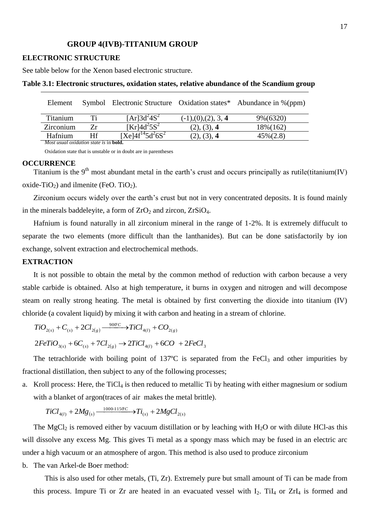#### **GROUP 4(IVB)-TITANIUM GROUP**

#### **ELECTRONIC STRUCTURE**

See table below for the Xenon based electronic structure.

| Element                                               |    |                                  |                                 | Symbol Electronic Structure Oxidation states* Abundance in %(ppm) |
|-------------------------------------------------------|----|----------------------------------|---------------------------------|-------------------------------------------------------------------|
| Titanium                                              | Ti | $[Ar]3d^24S^2$                   | $(-1)$ , $(0)$ , $(2)$ , $3, 4$ | 9%(6320)                                                          |
| Zirconium                                             | 7r | $\overline{\text{[Kr]}4d^25S^2}$ | (2), (3), 4                     | 18%(162)                                                          |
| Hafnium                                               | Hf | $[Xe]4f^{14}5d^26S^2$            | (2), (3), 4                     | $45\%(2.8)$                                                       |
| <i>Most usual oxidation state is in <b>bold</b></i> . |    |                                  |                                 |                                                                   |

#### **Table 3.1: Electronic structures, oxidation states, relative abundance of the Scandium group**

Oxidation state that is unstable or in doubt are in parentheses

#### **OCCURRENCE**

Titanium is the  $9<sup>th</sup>$  most abundant metal in the earth's crust and occurs principally as rutile(titanium(IV) oxide-TiO<sub>2</sub>) and ilmenite (FeO. TiO<sub>2</sub>).

Zirconium occurs widely over the earth's crust but not in very concentrated deposits. It is found mainly in the minerals baddeleyite, a form of  $ZrO<sub>2</sub>$  and zircon,  $ZrSiO<sub>4</sub>$ .

Hafnium is found naturally in all zirconium mineral in the range of 1-2%. It is extremely diffucult to separate the two elements (more difficult than the lanthanides). But can be done satisfactorily by ion exchange, solvent extraction and electrochemical methods.

## **EXTRACTION**

It is not possible to obtain the metal by the common method of reduction with carbon because a very stable carbide is obtained. Also at high temperature, it burns in oxygen and nitrogen and will decompose steam on really strong heating. The metal is obtained by first converting the dioxide into titanium (IV) chloride (a covalent liquid) by mixing it with carbon and heating in a stream of chlorine.

 $\mu_{(g)}$   $\longrightarrow$   $\mu_{(l)}$   $\top$   $\text{CO}_{2(g)}$  $TiO_{2(s)} + C_{(s)} + 2Cl_{2(g)} \xrightarrow{900^\circ C} TiCl_{4(l)} + CO_{2(g)}$ 

 $2FeTiO_{3(s)} + 6C_{(s)} + 7Cl_{2(e)} \rightarrow 2TiCl_{4(l)} + 6CO + 2FeCl_{3}$ 

The tetrachloride with boiling point of 137 $\degree$ C is separated from the FeCl<sub>3</sub> and other impurities by fractional distillation, then subject to any of the following processes;

a. Kroll process: Here, the  $TiCl<sub>4</sub>$  is then reduced to metallic Ti by heating with either magnesium or sodium with a blanket of argon(traces of air makes the metal brittle).

 $\mu_{(s)}$   $\tau$  2*m*g $\tau_{(s)}$   $\tau_{(s)}$  $TiCl_{4(l)} + 2Mg_{(s)} \xrightarrow{1000-1150C} Ti_{(s)} + 2MgCl_{2(s)}$ 

The MgCl<sub>2</sub> is removed either by vacuum distillation or by leaching with  $H_2O$  or with dilute HCl-as this will dissolve any excess Mg. This gives Ti metal as a spongy mass which may be fused in an electric arc under a high vacuum or an atmosphere of argon. This method is also used to produce zirconium

b. The van Arkel-de Boer method:

This is also used for other metals, (Ti, Zr). Extremely pure but small amount of Ti can be made from this process. Impure Ti or Zr are heated in an evacuated vessel with  $I_2$ . Ti $I_4$  or ZrI<sub>4</sub> is formed and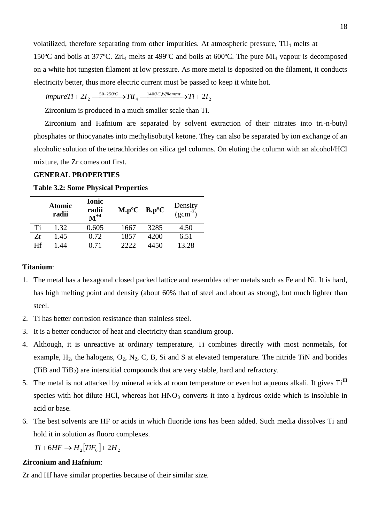volatilized, therefore separating from other impurities. At atmospheric pressure, TiI<sub>4</sub> melts at

150ºC and boils at 377ºC. ZrI<sup>4</sup> melts at 499ºC and boils at 600ºC. The pure MI<sup>4</sup> vapour is decomposed on a white hot tungsten filament at low pressure. As more metal is deposited on the filament, it conducts electricity better, thus more electric current must be passed to keep it white hot.<br> *impureTi* + 2*I*<sub>2</sub>  $\frac{50-250^{\circ}C}{4}$   $\rightarrow$   $Til_4$   $\frac{1400^{\circ}C}{4}$   $\rightarrow$   $Til_4$   $\rightarrow$   $Til_4$   $\rightarrow$   $2I_2$ 

$$
impure Ti + 2I_2 \xrightarrow{50-250^\circ C} TiI_4 \xrightarrow{1400^\circ C, Wfilament} Ti + 2I_2
$$

Zirconium is produced in a much smaller scale than Ti.

Zirconium and Hafnium are separated by solvent extraction of their nitrates into tri-n-butyl phosphates or thiocyanates into methylisobutyl ketone. They can also be separated by ion exchange of an alcoholic solution of the tetrachlorides on silica gel columns. On eluting the column with an alcohol/HCl mixture, the Zr comes out first.

## **GENERAL PROPERTIES**

|    | <b>Atomic</b><br>radii | <b>Ionic</b><br>radii<br>$M^{+4}$ | $M.p^oC$ B.p°C |      | Density<br>$(gcm^{-3})$ |
|----|------------------------|-----------------------------------|----------------|------|-------------------------|
| Ti | 1.32                   | 0.605                             | 1667           | 3285 | 4.50                    |
| Zr | 1.45                   | 0.72                              | 1857           | 4200 | 6.51                    |
| Hf | -44                    |                                   |                | 4450 | 13.28                   |

## **Table 3.2: Some Physical Properties**

#### **Titanium**:

- 1. The metal has a hexagonal closed packed lattice and resembles other metals such as Fe and Ni. It is hard, has high melting point and density (about 60% that of steel and about as strong), but much lighter than steel.
- 2. Ti has better corrosion resistance than stainless steel.
- 3. It is a better conductor of heat and electricity than scandium group.
- 4. Although, it is unreactive at ordinary temperature, Ti combines directly with most nonmetals, for example,  $H_2$ , the halogens,  $O_2$ ,  $N_2$ , C, B, Si and S at elevated temperature. The nitride TiN and borides (TiB and TiB2) are interstitial compounds that are very stable, hard and refractory.
- 5. The metal is not attacked by mineral acids at room temperature or even hot aqueous alkali. It gives  $Ti<sup>III</sup>$ species with hot dilute HCl, whereas hot  $HNO<sub>3</sub>$  converts it into a hydrous oxide which is insoluble in acid or base.
- 6. The best solvents are HF or acids in which fluoride ions has been added. Such media dissolves Ti and hold it in solution as fluoro complexes.

 $Ti + 6HF \rightarrow H$ <sub>2</sub>  $[TiF<sub>6</sub>] + 2H$ <sub>2</sub>

#### **Zirconium and Hafnium**:

Zr and Hf have similar properties because of their similar size.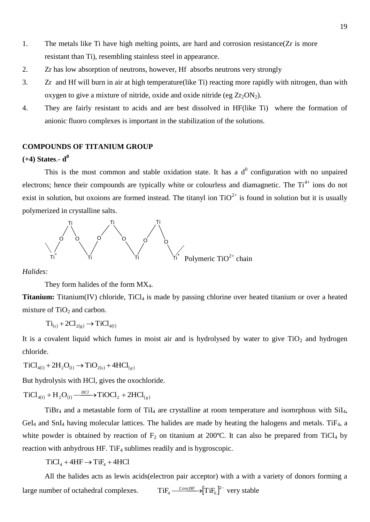- 1. The metals like Ti have high melting points, are hard and corrosion resistance(Zr is more resistant than Ti), resembling stainless steel in appearance.
- 2. Zr has low absorption of neutrons, however, Hf absorbs neutrons very strongly
- 3. Zr and Hf will burn in air at high temperature(like Ti) reacting more rapidly with nitrogen, than with oxygen to give a mixture of nitride, oxide and oxide nitride (eg  $Zr_2ON_2$ ).
- 4. They are fairly resistant to acids and are best dissolved in HF(like Ti) where the formation of anionic fluoro complexes is important in the stabilization of the solutions.

## **COMPOUNDS OF TITANIUM GROUP**

## **(+4) States**.- **d 0**

This is the most common and stable oxidation state. It has a  $d<sup>0</sup>$  configuration with no unpaired electrons; hence their compounds are typically white or colourless and diamagnetic. The Ti<sup>4+</sup> ions do not exist in solution, but oxoions are formed instead. The titanyl ion  $TiO^{2+}$  is found in solution but it is usually polymerized in crystalline salts.



*Halides:*

They form halides of the form  $MX_4$ .

**Titanium:** Titanium(IV) chloride, TiCl<sub>4</sub> is made by passing chlorine over heated titanium or over a heated mixture of  $TiO<sub>2</sub>$  and carbon.

$$
Ti_{(s)} + 2Cl_{2(g)} \rightarrow TiCl_{4(1)}
$$

It is a covalent liquid which fumes in moist air and is hydrolysed by water to give  $TiO<sub>2</sub>$  and hydrogen chloride.

 $TiCl_{4(1)} + 2H_2O_{(1)} \rightarrow TiO_{2(s)} + 4HCl_{(g)}$ 

But hydrolysis with HCl, gives the oxochloride.

 $TiCl_{4(1)} + H_2O_{(1)} \xrightarrow{HCl} TiOCl_2 + 2HCl_{(g)}$ 

TiBr<sub>4</sub> and a metastable form of TiI<sub>4</sub> are crystalline at room temperature and isomrphous with  $SiI<sub>4</sub>$ ,  $GeI_4$  and  $SnI_4$  having molecular lattices. The halides are made by heating the halogens and metals. Ti $F_4$ , a white powder is obtained by reaction of  $F_2$  on titanium at 200°C. It can also be prepared from TiCl<sub>4</sub> by reaction with anhydrous HF. TiF<sub>4</sub> sublimes readily and is hygroscopic.

 $TiCl<sub>4</sub> + 4HF \rightarrow TiF<sub>4</sub> + 4HCl$ 

All the halides acts as lewis acids(electron pair acceptor) with a with a variety of donors forming a large number of octahedral complexes.  $TiF_4 \xrightarrow{ConchF} \{TiF_6\}^{2-}$  very stable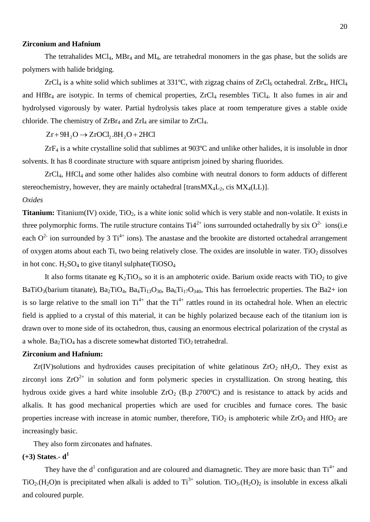#### **Zirconium and Hafnium**

The tetrahalides MCl<sub>4</sub>, MBr<sub>4</sub> and MI<sub>4</sub>, are tetrahedral monomers in the gas phase, but the solids are polymers with halide bridging.

 $ZrCl<sub>4</sub>$  is a white solid which sublimes at 331°C, with zigzag chains of  $ZrCl<sub>6</sub>$  octahedral.  $ZrBr<sub>4</sub>$ , HfCl<sub>4</sub> and  $HfBr<sub>4</sub>$  are isotypic. In terms of chemical properties,  $ZrCl<sub>4</sub>$  resembles TiCl<sub>4</sub>. It also fumes in air and hydrolysed vigorously by water. Partial hydrolysis takes place at room temperature gives a stable oxide chloride. The chemistry of  $ZrBr_4$  and  $ZrI_4$  are similar to  $ZrCl_4$ .

 $Zr + 9H_2O \rightarrow ZrOCl_2 .8H_2O + 2HCl$ 

ZrF<sup>4</sup> is a white crystalline solid that sublimes at 903ºC and unlike other halides, it is insoluble in dnor solvents. It has 8 coordinate structure with square antiprism joined by sharing fluorides.

ZrCl4, HfCl4 and some other halides also combine with neutral donors to form adducts of different stereochemistry, however, they are mainly octahedral [trans $MX_4L_2$ , cis  $MX_4 (LL)$ ].

## *Oxides*

**Titanium:** Titanium(IV) oxide, TiO<sub>2</sub>, is a white ionic solid which is very stable and non-volatile. It exists in three polymorphic forms. The rutile structure contains  $Ti4^{2+}$  ions surrounded octahedrally by six  $O^{2-}$  ions(i.e each  $O^{2-}$  ion surrounded by 3 Ti<sup>4+</sup> ions). The anastase and the brookite are distorted octahedral arrangement of oxygen atoms about each Ti, two being relatively close. The oxides are insoluble in water. TiO<sub>2</sub> dissolves in hot conc.  $H_2SO_4$  to give titanyl sulphate(TiOS $O_4$ 

It also forms titanate eg  $K_2TiO_3$ , so it is an amphoteric oxide. Barium oxide reacts with  $TiO_2$  to give BaTiO<sub>3</sub>(barium titanate), Ba<sub>2</sub>TiO<sub>4</sub>, Ba<sub>4</sub>Ti<sub>13</sub>O<sub>30</sub>, Ba<sub>6</sub>Ti<sub>17</sub>O<sub>340</sub>, This has ferroelectric properties. The Ba2+ ion is so large relative to the small ion  $Ti^{4+}$  that the  $Ti^{4+}$  rattles round in its octahedral hole. When an electric field is applied to a crystal of this material, it can be highly polarized because each of the titanium ion is drawn over to mone side of its octahedron, thus, causing an enormous electrical polarization of the crystal as a whole. Ba<sub>2</sub>TiO<sub>4</sub> has a discrete somewhat distorted  $TiO<sub>2</sub>$  tetrahedral.

#### **Zirconium and Hafnium:**

 $Zr(V)$ solutions and hydroxides causes precipitation of white gelatinous  $ZrO<sub>2</sub> nH<sub>2</sub>O<sub>2</sub>$ . They exist as zirconyl ions  $ZrO^{2+}$  in solution and form polymeric species in crystallization. On strong heating, this hydrous oxide gives a hard white insoluble  $ZrO<sub>2</sub>$  (B.p 2700°C) and is resistance to attack by acids and alkalis. It has good mechanical properties which are used for crucibles and furnace cores. The basic properties increase with increase in atomic number, therefore,  $TiO<sub>2</sub>$  is amphoteric while  $ZrO<sub>2</sub>$  and  $HfO<sub>2</sub>$  are increasingly basic.

They also form zirconates and hafnates.

## **(+3) States**.- **d 1**

They have the  $d^1$  configuration and are coloured and diamagnetic. They are more basic than  $Ti^{4+}$  and TiO<sub>2</sub>.(H<sub>2</sub>O)n is precipitated when alkali is added to Ti<sup>3+</sup> solution. TiO<sub>3</sub>.(H<sub>2</sub>O)<sub>2</sub> is insoluble in excess alkali and coloured purple.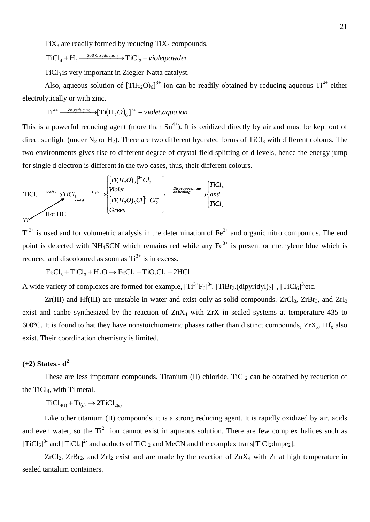$TiX<sub>3</sub>$  are readily formed by reducing  $TiX<sub>4</sub>$  compounds.

 $v + H_2 \longrightarrow ^{600^{\circ}C, reduction} \rightarrow TiCl_3 - violet powder$  $TiCl_4 + H_2 \xrightarrow{600^{\circ}C, reduction} \rightarrow TiCl_3$ 

 $TiCl<sub>3</sub>$  is very important in Ziegler-Natta catalyst.

Also, aqueous solution of  $[TiH_2O)_6]^{3+}$  ion can be readily obtained by reducing aqueous  $Ti^{4+}$  either electrolytically or with zinc.

$$
Ti^{4+} \xrightarrow{\text{Zn}, \text{reducing}} \text{H} \left( H_2 O \right)_{6} J^{3+} - \text{violet}. \text{aquad.}
$$

This is a powerful reducing agent (more than  $Sn^{4+}$ ). It is oxidized directly by air and must be kept out of direct sunlight (under  $N_2$  or  $H_2$ ). There are two different hydrated forms of TiCl<sub>3</sub> with different colours. The two environments gives rise to different degree of crystal field splitting of d levels, hence the energy jump for single d electron is different in the two cases, thus, their different colours.

 *Ti TiCl and TiCl Green Ti H O Cl Cl Violet Ti H O Cl TiCl o n heating Disproportionate H O* 2 4 . 2 2 2 5 3 3 2 6 violet 3 650 C 4 ( ) ( ) TiCl <sup>2</sup> Hot HCl

 $Ti^{3+}$  is used and for volumetric analysis in the determination of Fe<sup>3+</sup> and organic nitro compounds. The end point is detected with NH<sub>4</sub>SCN which remains red while any  $Fe<sup>3+</sup>$  is present or methylene blue which is reduced and discoloured as soon as  $Ti^{3+}$  is in excess.

 $FeCl<sub>3</sub> + TiCl<sub>3</sub> + H<sub>2</sub>O \rightarrow FeCl<sub>2</sub> + TiO.Cl<sub>2</sub> + 2HCl$ 

A wide variety of complexes are formed for example,  $[Ti^{3+}F_6]^3$ ,  $[TiBr_2$ .(dipyridyl)<sub>2</sub> $]^+$ ,  $[TiCl_6]^3$  etc.

 $Zr(III)$  and Hf(III) are unstable in water and exist only as solid compounds.  $ZrCl<sub>3</sub>$ ,  $ZrBr<sub>3</sub>$ , and  $ZrI<sub>3</sub>$ exist and canbe synthesized by the reaction of  $ZnX_4$  with  $ZrX$  in sealed systems at temperature 435 to 600 $^{\circ}$ C. It is found to hat they have nonstoichiometric phases rather than distinct compounds,  $ZrX_x$ . Hf<sub>x</sub> also exist. Their coordination chemistry is limited.

## **(+2) States**.- **d 2**

These are less important compounds. Titanium (II) chloride,  $TiCl<sub>2</sub>$  can be obtained by reduction of the  $TiCl<sub>4</sub>$ , with Ti metal.

 $TiCl_{4(1)} + Ti_{(s)} \rightarrow 2TiCl_{2(s)}$ 

Like other titanium (II) compounds, it is a strong reducing agent. It is rapidly oxidized by air, acids and even water, so the  $Ti^{2+}$  ion cannot exist in aqueous solution. There are few complex halides such as  $[TiCl<sub>5</sub>]$ <sup>3-</sup> and  $[TiCl<sub>4</sub>]$ <sup>2-</sup> and adducts of  $TiCl<sub>2</sub>$  and MeCN and the complex trans[TiCl<sub>2</sub>dmpe<sub>2</sub>].

 $ZrCl_2$ ,  $ZrBr_2$ , and  $ZrI_2$  exist and are made by the reaction of  $ZnX_4$  with  $Zr$  at high temperature in sealed tantalum containers.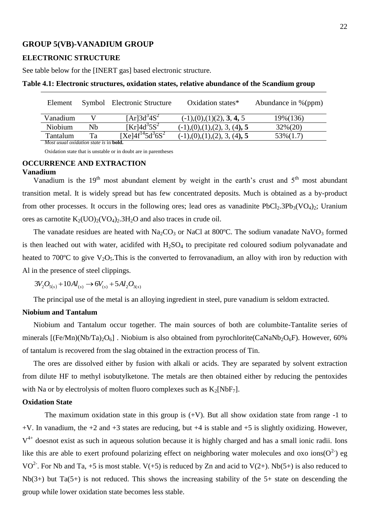## **GROUP 5(VB)-VANADIUM GROUP**

#### **ELECTRONIC STRUCTURE**

See table below for the [INERT gas] based electronic structure.

| Element                                               |    | Symbol Electronic Structure            | Oxidation states*                                             | Abundance in %(ppm) |
|-------------------------------------------------------|----|----------------------------------------|---------------------------------------------------------------|---------------------|
|                                                       |    |                                        |                                                               |                     |
| Vanadium                                              |    | $[Ar]3d^{3}4S^{2}$                     | $(-1)$ , $(0)$ , $(1)$ $(2)$ , <b>3</b> , <b>4</b> , <b>5</b> | 19% (136)           |
| Niobium                                               | Nh | $[Kr]$ 4d <sup>3</sup> 5S <sup>2</sup> | $(-1)$ , $(0)$ , $(1)$ , $(2)$ , $3$ , $(4)$ , 5              | $32\%(20)$          |
| Tantalum                                              | Ta | $[Xe]4f^{14}5d^{3}6S^{2}$              | $(-1)$ , $(0)$ , $(1)$ , $(2)$ , $3$ , $(4)$ , 5              | $53\%(1.7)$         |
| <i>Most usual oxidation state is in <b>bold</b></i> . |    |                                        |                                                               |                     |

Oxidation state that is unstable or in doubt are in parentheses

#### **OCCURRENCE AND EXTRACTION**

#### **Vanadium**

Vanadium is the  $19<sup>th</sup>$  most abundant element by weight in the earth's crust and  $5<sup>th</sup>$  most abundant transition metal. It is widely spread but has few concentrated deposits. Much is obtained as a by-product from other processes. It occurs in the following ores; lead ores as vanadinite  $PbCl_2.3Pb_3(VO_4)_2$ ; Uranium ores as carnotite  $K_2(UO)_2(VO_4)_2.3H_2O$  and also traces in crude oil.

The vanadate residues are heated with  $Na<sub>2</sub>CO<sub>3</sub>$  or NaCl at 800°C. The sodium vanadate NaVO<sub>3</sub> formed is then leached out with water, acidifed with  $H_2SO_4$  to precipitate red coloured sodium polyvanadate and heated to 700 $\degree$ C to give V<sub>2</sub>O<sub>5</sub>. This is the converted to ferrovanadium, an alloy with iron by reduction with Al in the presence of steel clippings.

 $3V_2O_{5(s)} + 10Al_{(s)} \rightarrow 6V_{(s)} + 5Al_2O_{3(s)}$ 

The principal use of the metal is an alloying ingredient in steel, pure vanadium is seldom extracted.

#### **Niobium and Tantalum**

Niobium and Tantalum occur together. The main sources of both are columbite-Tantalite series of minerals  $[(Fe/Mn)(Nb/Ta)_2O_6]$ . Niobium is also obtained from pyrochlorite(CaNaNb<sub>2</sub>O<sub>6</sub>F). However, 60% of tantalum is recovered from the slag obtained in the extraction process of Tin.

The ores are dissolved either by fusion with alkali or acids. They are separated by solvent extraction from dilute HF to methyl isobutylketone. The metals are then obtained either by reducing the pentoxides with Na or by electrolysis of molten fluoro complexes such as  $K_2[NbF_7]$ .

#### **Oxidation State**

The maximum oxidation state in this group is  $(+V)$ . But all show oxidation state from range -1 to  $+V$ . In vanadium, the  $+2$  and  $+3$  states are reducing, but  $+4$  is stable and  $+5$  is slightly oxidizing. However,  $V<sup>4+</sup>$  doesnot exist as such in aqueous solution because it is highly charged and has a small ionic radii. Ions like this are able to exert profound polarizing effect on neighboring water molecules and oxo ions( $O^2$ ) eg VO<sup>2-</sup>. For Nb and Ta, +5 is most stable. V(+5) is reduced by Zn and acid to V(2+). Nb(5+) is also reduced to Nb(3+) but Ta(5+) is not reduced. This shows the increasing stability of the 5+ state on descending the group while lower oxidation state becomes less stable.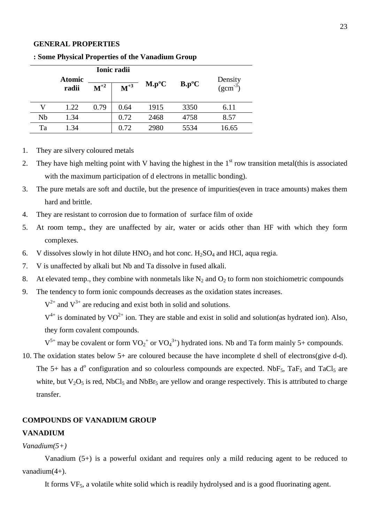### **GENERAL PROPERTIES**

|    |                        |          | Ionic radii |          |          |                           |
|----|------------------------|----------|-------------|----------|----------|---------------------------|
|    | <b>Atomic</b><br>radii | $M^{+2}$ | $M^{+3}$    | $M.p^oC$ | $B.p^oC$ | Density<br>( $gcm^{-3}$ ) |
| V  | 1.22                   | 0.79     | 0.64        | 1915     | 3350     | 6.11                      |
| Nb | 1.34                   |          | 0.72        | 2468     | 4758     | 8.57                      |
| Ta | 1.34                   |          | 0.72        | 2980     | 5534     | 16.65                     |

**: Some Physical Properties of the Vanadium Group**

- 1. They are silvery coloured metals
- 2. They have high melting point with V having the highest in the  $1<sup>st</sup>$  row transition metal(this is associated with the maximum participation of d electrons in metallic bonding).
- 3. The pure metals are soft and ductile, but the presence of impurities(even in trace amounts) makes them hard and brittle.
- 4. They are resistant to corrosion due to formation of surface film of oxide
- 5. At room temp., they are unaffected by air, water or acids other than HF with which they form complexes.
- 6. V dissolves slowly in hot dilute  $HNO<sub>3</sub>$  and hot conc.  $H<sub>2</sub>SO<sub>4</sub>$  and HCl, aqua regia.
- 7. V is unaffected by alkali but Nb and Ta dissolve in fused alkali.
- 8. At elevated temp., they combine with nonmetals like  $N_2$  and  $O_2$  to form non stoichiometric compounds
- 9. The tendency to form ionic compounds decreases as the oxidation states increases.

 $V^{2+}$  and  $V^{3+}$  are reducing and exist both in solid and solutions.

 $V^{4+}$  is dominated by VO<sup>2+</sup> ion. They are stable and exist in solid and solution(as hydrated ion). Also, they form covalent compounds.

 $V^{5+}$  may be covalent or form  $VO_2^+$  or  $VO_4^{3+}$ ) hydrated ions. Nb and Ta form mainly 5+ compounds.

10. The oxidation states below 5+ are coloured because the have incomplete d shell of electrons(give d-d). The 5+ has a  $d^{\circ}$  configuration and so colourless compounds are expected. NbF<sub>5</sub>, TaF<sub>5</sub> and TaCl<sub>5</sub> are white, but  $V_2O_5$  is red, NbCl<sub>5</sub> and NbBr<sub>5</sub> are yellow and orange respectively. This is attributed to charge transfer.

#### **COMPOUNDS OF VANADIUM GROUP**

#### **VANADIUM**

#### *Vanadium(5+)*

Vanadium (5+) is a powerful oxidant and requires only a mild reducing agent to be reduced to vanadium(4+).

It forms VF<sub>5</sub>, a volatile white solid which is readily hydrolysed and is a good fluorinating agent.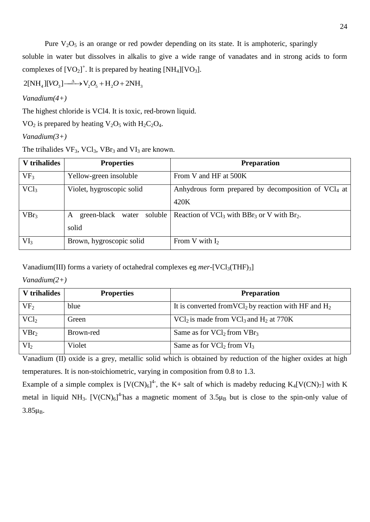Pure  $V_2O_5$  is an orange or red powder depending on its state. It is amphoteric, sparingly

soluble in water but dissolves in alkalis to give a wide range of vanadates and in strong acids to form complexes of  $[VO_2]^+$ . It is prepared by heating  $[NH_4][VO_3]$ .

 $2[NH_4][VO_3] \longrightarrow V_2O_5 + H_2O + 2NH_3$ 

*Vanadium(4+)*

The highest chloride is VCl4. It is toxic, red-brown liquid.

VO<sub>2</sub> is prepared by heating  $V_2O_5$  with  $H_2C_2O_4$ .

*Vanadium(3+)*

The trihalides  $VF_3$ ,  $VCl_3$ ,  $VBr_3$  and  $VI_3$  are known.

| V trihalides    | <b>Properties</b>              | <b>Preparation</b>                                                    |
|-----------------|--------------------------------|-----------------------------------------------------------------------|
| VF <sub>3</sub> | Yellow-green insoluble         | From V and HF at 500K                                                 |
| $\text{VCl}_3$  | Violet, hygroscopic solid      | Anhydrous form prepared by decomposition of $\text{VCL}_4$ at         |
|                 |                                | 420K                                                                  |
| $VBr_3$         | green-black water soluble<br>A | Reaction of $VCl_3$ with BBr <sub>3</sub> or V with Br <sub>2</sub> . |
|                 | solid                          |                                                                       |
| VI <sub>3</sub> | Brown, hygroscopic solid       | From V with $I_2$                                                     |

Vanadium(III) forms a variety of octahedral complexes eg *mer*-[VCl<sub>3</sub>(THF)<sub>3</sub>]

*Vanadium(2+)*

| V trihalides     | <b>Properties</b> | <b>Preparation</b>                                                  |
|------------------|-------------------|---------------------------------------------------------------------|
| VF <sub>2</sub>  | blue              | It is converted from $VCl_2$ by reaction with HF and H <sub>2</sub> |
| $\text{VCl}_2$   | Green             | $\text{VC1}_2$ is made from $\text{VC1}_3$ and $\text{H}_2$ at 770K |
| VBr <sub>2</sub> | Brown-red         | Same as for $\text{VCl}_2$ from $\text{VBr}_3$                      |
| VI <sub>2</sub>  | Violet            | Same as for $\text{VCl}_2$ from $\text{VI}_3$                       |

Vanadium (II) oxide is a grey, metallic solid which is obtained by reduction of the higher oxides at high temperatures. It is non-stoichiometric, varying in composition from 0.8 to 1.3.

Example of a simple complex is  $[V(CN)_6]^4$ , the K+ salt of which is madeby reducing  $K_4[V(CN)_7]$  with K metal in liquid NH<sub>3</sub>. [V(CN)<sub>6</sub>]<sup>4</sup> has a magnetic moment of  $3.5\mu_B$  but is close to the spin-only value of  $3.85 \mu_B$ .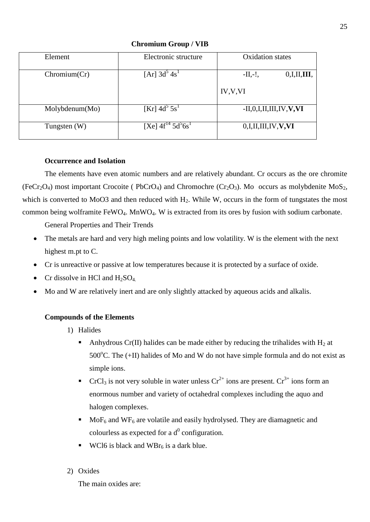| Element        | Electronic structure                           | <b>Oxidation</b> states         |
|----------------|------------------------------------------------|---------------------------------|
| Chromium(Cr)   | $[Ar]$ 3d <sup>3</sup> 4s <sup>1</sup>         | 0,I,II,III,<br>$-II,-!,$        |
|                |                                                | IV, V, VI                       |
| Molybdenum(Mo) | [Kr] $4d^5 5s^1$                               | $-II, 0, I, II, III, IV, V, VI$ |
| Tungsten $(W)$ | [Xe] $4f^{14}$ 5d <sup>5</sup> 6s <sup>1</sup> | 0,I,II,III,IV,V,VI              |

**Chromium Group / VIB**

## **Occurrence and Isolation**

The elements have even atomic numbers and are relatively abundant. Cr occurs as the ore chromite  $(FeCr<sub>2</sub>O<sub>4</sub>)$  most important Crocoite ( PbCrO<sub>4</sub>) and Chromochre (Cr<sub>2</sub>O<sub>3</sub>). Mo occurs as molybdenite MoS<sub>2</sub>, which is converted to MoO3 and then reduced with H<sub>2</sub>. While W, occurs in the form of tungstates the most common being wolframite FeWO4. MnWO4. W is extracted from its ores by fusion with sodium carbonate.

General Properties and Their Trends

- The metals are hard and very high meling points and low volatility. W is the element with the next highest m.pt to C.
- Cr is unreactive or passive at low temperatures because it is protected by a surface of oxide.
- Cr dissolve in HCl and  $H_2SO_4$ .
- Mo and W are relatively inert and are only slightly attacked by aqueous acids and alkalis.

## **Compounds of the Elements**

- 1) Halides
	- Anhydrous Cr(II) halides can be made either by reducing the trihalides with  $H_2$  at 500 $^{\circ}$ C. The (+II) halides of Mo and W do not have simple formula and do not exist as simple ions.
	- CrCl<sub>3</sub> is not very soluble in water unless  $Cr^{2+}$  ions are present.  $Cr^{3+}$  ions form an enormous number and variety of octahedral complexes including the aquo and halogen complexes.
	- $Mof<sub>6</sub>$  and  $WF<sub>6</sub>$  are volatile and easily hydrolysed. They are diamagnetic and colourless as expected for a  $d^0$  configuration.
	- WCl6 is black and  $WBr_6$  is a dark blue.
- 2) Oxides

The main oxides are: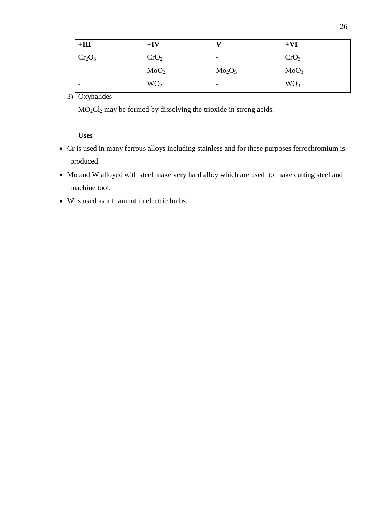| $+III$                         | $+IV$            |                                | $+VI$            |
|--------------------------------|------------------|--------------------------------|------------------|
| Cr <sub>2</sub> O <sub>3</sub> | CrO <sub>2</sub> |                                | CrO <sub>3</sub> |
| $\overline{\phantom{0}}$       | MoO <sub>2</sub> | Mo <sub>2</sub> O <sub>5</sub> | MoO <sub>3</sub> |
|                                | WO <sub>2</sub>  | $\overline{\phantom{0}}$       | WO <sub>3</sub>  |

# 3) Oxyhalides

MO2Cl<sup>2</sup> may be formed by dissolving the trioxide in strong acids.

**Uses**

- Cr is used in many ferrous alloys including stainless and for these purposes ferrochromium is produced.
- Mo and W alloyed with steel make very hard alloy which are used to make cutting steel and machine tool.
- W is used as a filament in electric bulbs.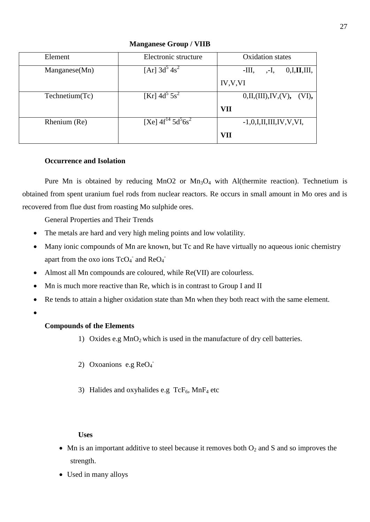| Element             | Electronic structure                   | <b>Oxidation</b> states         |
|---------------------|----------------------------------------|---------------------------------|
| $M$ anganese $(Mn)$ | $[Ar]$ 3d <sup>3</sup> 4s <sup>2</sup> | -Ш,<br>0,I,II,III,<br>,-I,      |
|                     |                                        | IV, V, VI                       |
| Technetium(Tc)      | [Kr] $4d^5 5s^2$                       | 0,II,(III),IV,(V), (VI),        |
|                     |                                        | <b>VII</b>                      |
| Rhenium (Re)        | [Xe] $4f^{14} 5d^5 6s^2$               | $-1, 0, I, II, III, IV, V, VI,$ |
|                     |                                        | VII                             |

**Manganese Group / VIIB**

## **Occurrence and Isolation**

Pure Mn is obtained by reducing MnO2 or  $Mn_3O_4$  with Al(thermite reaction). Technetium is obtained from spent uranium fuel rods from nuclear reactors. Re occurs in small amount in Mo ores and is recovered from flue dust from roasting Mo sulphide ores.

General Properties and Their Trends

- The metals are hard and very high meling points and low volatility.
- Many ionic compounds of Mn are known, but Tc and Re have virtually no aqueous ionic chemistry apart from the oxo ions  $TcO<sub>4</sub>$  and  $ReO<sub>4</sub>$
- Almost all Mn compounds are coloured, while Re(VII) are colourless.
- Mn is much more reactive than Re, which is in contrast to Group I and II
- Re tends to attain a higher oxidation state than Mn when they both react with the same element.
- $\epsilon$

## **Compounds of the Elements**

- 1) Oxides e.g  $MnO<sub>2</sub>$  which is used in the manufacture of dry cell batteries.
- 2) Oxoanions e.g  $ReO<sub>4</sub>$
- 3) Halides and oxyhalides e.g  $TcF_6$ , MnF<sub>4</sub> etc

## **Uses**

- Mn is an important additive to steel because it removes both  $O_2$  and S and so improves the strength.
- Used in many alloys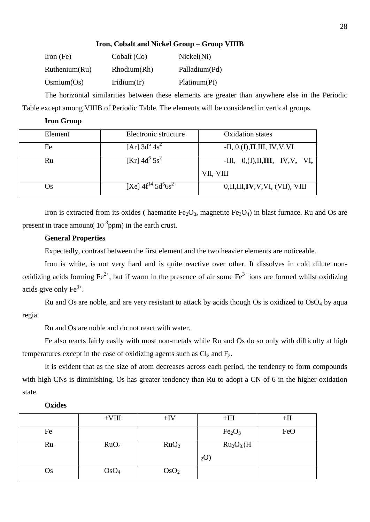## **Iron, Cobalt and Nickel Group – Group VIIIB**

| Iron $(Fe)$   | Cobalt (Co)    | Nickel(Ni)    |
|---------------|----------------|---------------|
| Ruthenium(Ru) | Rhodium(Rh)    | Palladium(Pd) |
| Osmium(Os)    | Iridium $(Ir)$ | Platinum(Pt)  |

The horizontal similarities between these elements are greater than anywhere else in the Periodic Table except among VIIIB of Periodic Table. The elements will be considered in vertical groups.

## **Iron Group**

| Element | Electronic structure                   | Oxidation states                   |
|---------|----------------------------------------|------------------------------------|
| Fe      | $[Ar]$ 3d <sup>o</sup> 4s <sup>2</sup> | $-II, 0, (I), II, III, IV, V, VI$  |
| Ru      | [Kr] $4d^{\circ} 5s^2$                 | -III, $0,(I),II,III, IV, V, VI,$   |
|         |                                        | VII, VIII                          |
| )s      | [Xe] $4f^{14} 5d^{6}6s^{2}$            | 0, II, III, IV, V, VI, (VII), VIII |

Iron is extracted from its oxides ( haematite  $Fe<sub>2</sub>O<sub>3</sub>$ , magnetite  $Fe<sub>3</sub>O<sub>4</sub>$ ) in blast furnace. Ru and Os are present in trace amount( $10^{-3}$ ppm) in the earth crust.

## **General Properties**

Expectedly, contrast between the first element and the two heavier elements are noticeable.

Iron is white, is not very hard and is quite reactive over other. It dissolves in cold dilute nonoxidizing acids forming  $Fe^{2+}$ , but if warm in the presence of air some  $Fe^{3+}$  ions are formed whilst oxidizing acids give only  $Fe^{3+}$ .

Ru and Os are noble, and are very resistant to attack by acids though Os is oxidized to  $O<sub>9</sub>O<sub>4</sub>$  by aqua regia.

Ru and Os are noble and do not react with water.

Fe also reacts fairly easily with most non-metals while Ru and Os do so only with difficulty at high temperatures except in the case of oxidizing agents such as  $Cl_2$  and  $F_2$ .

It is evident that as the size of atom decreases across each period, the tendency to form compounds with high CNs is diminishing, Os has greater tendency than Ru to adopt a CN of 6 in the higher oxidation state.

## **Oxides**

|            | $+VIII$          | $+IV$            | $+III$                             | $+$ II |
|------------|------------------|------------------|------------------------------------|--------|
| Fe         |                  |                  | Fe <sub>2</sub> O <sub>3</sub>     | FeO    |
| $Ru$       | RuO <sub>4</sub> | RuO <sub>2</sub> | Ru <sub>2</sub> O <sub>3</sub> (H) |        |
|            |                  |                  | $_2$ O)                            |        |
| <b>U</b> s | OsO <sub>4</sub> | OsO <sub>2</sub> |                                    |        |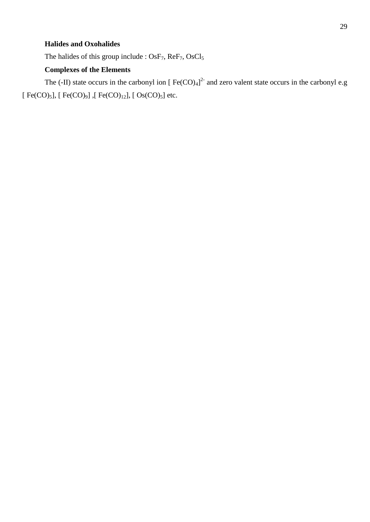## **Halides and Oxohalides**

The halides of this group include : OsF<sub>7</sub>, ReF<sub>7</sub>, OsCl<sub>5</sub>

## **Complexes of the Elements**

The (-II) state occurs in the carbonyl ion [ $Fe(CO)_4$ ]<sup>2-</sup> and zero valent state occurs in the carbonyl e.g [ Fe(CO)<sub>5</sub>], [ Fe(CO)<sub>9</sub>] ,[ Fe(CO)<sub>12</sub>], [ Os(CO)<sub>5</sub>] etc.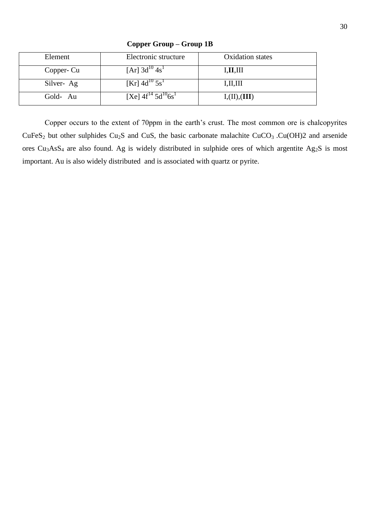| Element    | Electronic structure                    | <b>Oxidation</b> states |
|------------|-----------------------------------------|-------------------------|
| Copper- Cu | $[Ar]$ 3d <sup>10</sup> 4s <sup>1</sup> | I, II, III              |
| Silver-Ag  | [Kr] $4d^{10}$ 5s <sup>1</sup>          | I, II, III              |
| Gold-Au    | [Xe] $4f^{14}$ $5d^{10}6s^{1}$          | I,(II),(III)            |

**Copper Group – Group 1B**

Copper occurs to the extent of 70ppm in the earth's crust. The most common ore is chalcopyrites  $CuFeS<sub>2</sub>$  but other sulphides Cu<sub>2</sub>S and CuS, the basic carbonate malachite CuCO<sub>3</sub> .Cu(OH)2 and arsenide ores Cu3AsS<sup>4</sup> are also found. Ag is widely distributed in sulphide ores of which argentite Ag2S is most important. Au is also widely distributed and is associated with quartz or pyrite.